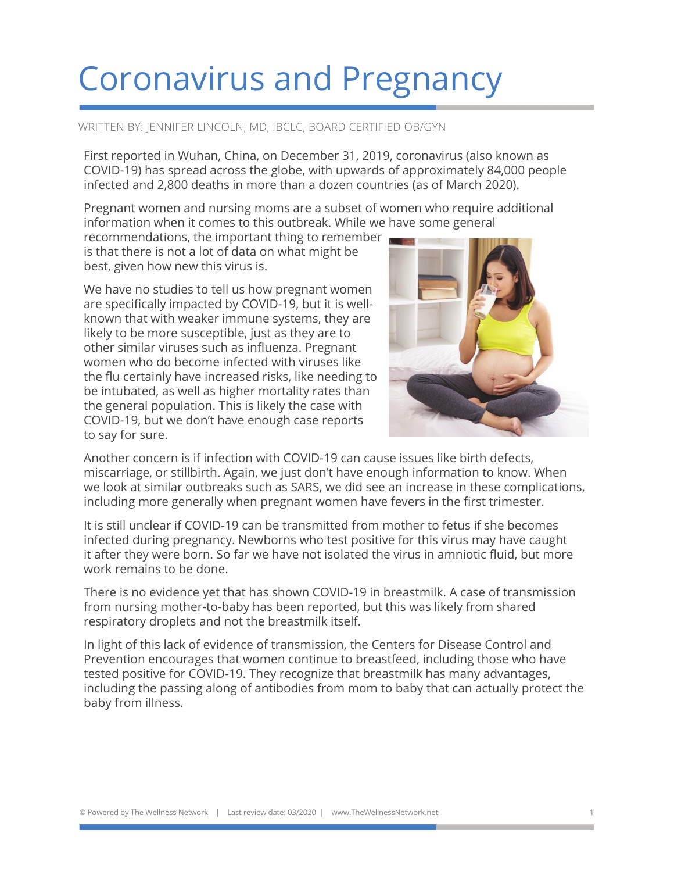## Coronavirus and Pregnancy

## WRITTEN BY: JENNIFER LINCOLN, MD, IBCLC, BOARD CERTIFIED OB/GYN

First reported in Wuhan, China, on December 31, 2019, coronavirus (also known as COVID-19) has spread across the globe, with upwards of approximately 84,000 people infected and 2,800 deaths in more than a dozen countries (as of March 2020).

Pregnant women and nursing moms are a subset of women who require additional information when it comes to this outbreak. While we have some general

recommendations, the important thing to remember is that there is not a lot of data on what might be best, given how new this virus is.

We have no studies to tell us how pregnant women are specifically impacted by COVID-19, but it is wellknown that with weaker immune systems, they are likely to be more susceptible, just as they are to other similar viruses such as influenza. Pregnant women who do become infected with viruses like the flu certainly have increased risks, like needing to be intubated, as well as higher mortality rates than the general population. This is likely the case with COVID-19, but we don't have enough case reports to say for sure.



Another concern is if infection with COVID-19 can cause issues like birth defects, miscarriage, or stillbirth. Again, we just don't have enough information to know. When we look at similar outbreaks such as SARS, we did see an increase in these complications, including more generally when pregnant women have fevers in the first trimester.

It is still unclear if COVID-19 can be transmitted from mother to fetus if she becomes infected during pregnancy. Newborns who test positive for this virus may have caught it after they were born. So far we have not isolated the virus in amniotic fluid, but more work remains to be done.

There is no evidence yet that has shown COVID-19 in breastmilk. A case of transmission from nursing mother-to-baby has been reported, but this was likely from shared respiratory droplets and not the breastmilk itself.

In light of this lack of evidence of transmission, the Centers for Disease Control and Prevention encourages that women continue to breastfeed, including those who have tested positive for COVID-19. They recognize that breastmilk has many advantages, including the passing along of antibodies from mom to baby that can actually protect the baby from illness.